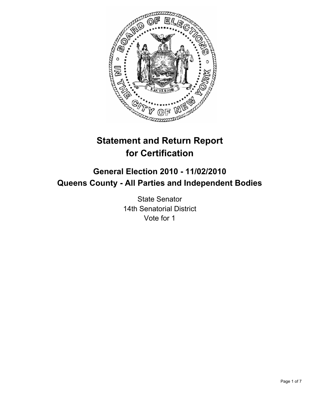

# **Statement and Return Report for Certification**

# **General Election 2010 - 11/02/2010 Queens County - All Parties and Independent Bodies**

State Senator 14th Senatorial District Vote for 1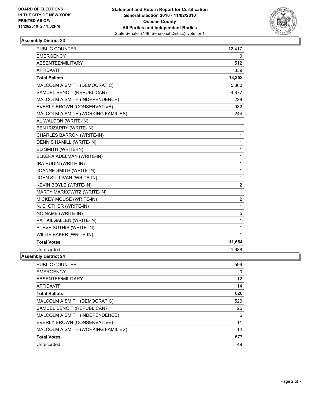

| PUBLIC COUNTER                     | 12,417         |
|------------------------------------|----------------|
| <b>EMERGENCY</b>                   | 0              |
| ABSENTEE/MILITARY                  | 512            |
| <b>AFFIDAVIT</b>                   | 339            |
| <b>Total Ballots</b>               | 13,352         |
| MALCOLM A SMITH (DEMOCRATIC)       | 5,360          |
| SAMUEL BENOIT (REPUBLICAN)         | 4.877          |
| MALCOLM A SMITH (INDEPENDENCE)     | 228            |
| EVERLY BROWN (CONSERVATIVE)        | 932            |
| MALCOLM A SMITH (WORKING FAMILIES) | 244            |
| AL WALDON (WRITE-IN)               | 1              |
| BEN IRIZARRY (WRITE-IN)            | 1              |
| CHARLES BARRON (WRITE-IN)          | 1              |
| DENNIS HAMILL (WRITE-IN)           | $\mathbf{1}$   |
| ED SMITH (WRITE-IN)                | 1              |
| ELKERA ADELMAN (WRITE-IN)          | $\mathbf{1}$   |
| IRA RUDIN (WRITE-IN)               | 1              |
| JOANNE SMITH (WRITE-IN)            | $\mathbf{1}$   |
| JOHN SULLIVAN (WRITE-IN)           | 1              |
| KEVIN BOYLE (WRITE-IN)             | $\overline{2}$ |
| MARTY MARKOWITZ (WRITE-IN)         | $\mathbf{1}$   |
| MICKEY MOUSE (WRITE-IN)            | $\overline{2}$ |
| N. E. OTHER (WRITE-IN)             | 1              |
| NO NAME (WRITE-IN)                 | 5              |
| PAT KILGALLEN (WRITE-IN)           | $\mathbf{1}$   |
| STEVE SUTHIS (WRITE-IN)            | 1              |
| <b>WILLIE BAKER (WRITE-IN)</b>     | 1              |
| <b>Total Votes</b>                 | 11,664         |
| Unrecorded                         | 1.688          |
| <b>Assembly District 24</b>        |                |

| <b>PUBLIC COUNTER</b>              | 599 |
|------------------------------------|-----|
| <b>EMERGENCY</b>                   | 0   |
| ABSENTEE/MILITARY                  | 12  |
| AFFIDAVIT                          | 14  |
| <b>Total Ballots</b>               | 626 |
| MALCOLM A SMITH (DEMOCRATIC)       | 520 |
| SAMUEL BENOIT (REPUBLICAN)         | 26  |
| MALCOLM A SMITH (INDEPENDENCE)     | 6   |
| EVERLY BROWN (CONSERVATIVE)        | 11  |
| MALCOLM A SMITH (WORKING FAMILIES) | 14  |
| <b>Total Votes</b>                 | 577 |
| Unrecorded                         | 49  |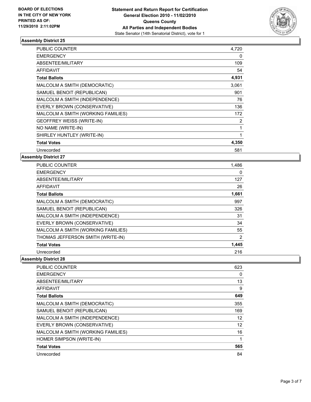

| <b>PUBLIC COUNTER</b>              | 4,720 |
|------------------------------------|-------|
| <b>EMERGENCY</b>                   | 0     |
| ABSENTEE/MILITARY                  | 109   |
| <b>AFFIDAVIT</b>                   | 54    |
| <b>Total Ballots</b>               | 4,931 |
| MALCOLM A SMITH (DEMOCRATIC)       | 3,061 |
| SAMUEL BENOIT (REPUBLICAN)         | 901   |
| MALCOLM A SMITH (INDEPENDENCE)     | 76    |
| EVERLY BROWN (CONSERVATIVE)        | 136   |
| MALCOLM A SMITH (WORKING FAMILIES) | 172   |
| GEOFFREY WEISS (WRITE-IN)          | 2     |
| NO NAME (WRITE-IN)                 | 1     |
| SHIRLEY HUNTLEY (WRITE-IN)         | 1     |
| <b>Total Votes</b>                 | 4,350 |
| Unrecorded                         | 581   |

#### **Assembly District 27**

| <b>PUBLIC COUNTER</b>              | 1,486 |
|------------------------------------|-------|
| <b>EMERGENCY</b>                   | 0     |
| ABSENTEE/MILITARY                  | 127   |
| <b>AFFIDAVIT</b>                   | 26    |
| <b>Total Ballots</b>               | 1,661 |
| MALCOLM A SMITH (DEMOCRATIC)       | 997   |
| SAMUEL BENOIT (REPUBLICAN)         | 326   |
| MALCOLM A SMITH (INDEPENDENCE)     | 31    |
| EVERLY BROWN (CONSERVATIVE)        | 34    |
| MALCOLM A SMITH (WORKING FAMILIES) | 55    |
| THOMAS JEFFERSON SMITH (WRITE-IN)  | 2     |
| <b>Total Votes</b>                 | 1,445 |
| Unrecorded                         | 216   |

| <b>PUBLIC COUNTER</b>              | 623 |
|------------------------------------|-----|
| <b>EMERGENCY</b>                   | 0   |
| ABSENTEE/MILITARY                  | 13  |
| AFFIDAVIT                          | 9   |
| <b>Total Ballots</b>               | 649 |
| MALCOLM A SMITH (DEMOCRATIC)       | 355 |
| SAMUEL BENOIT (REPUBLICAN)         | 169 |
| MALCOLM A SMITH (INDEPENDENCE)     | 12  |
| EVERLY BROWN (CONSERVATIVE)        | 12  |
| MALCOLM A SMITH (WORKING FAMILIES) | 16  |
| HOMER SIMPSON (WRITE-IN)           |     |
| <b>Total Votes</b>                 | 565 |
| Unrecorded                         | 84  |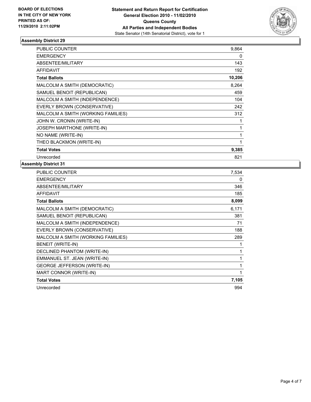

| PUBLIC COUNTER                     | 9,864  |
|------------------------------------|--------|
| <b>EMERGENCY</b>                   | 0      |
| ABSENTEE/MILITARY                  | 143    |
| <b>AFFIDAVIT</b>                   | 192    |
| <b>Total Ballots</b>               | 10,206 |
| MALCOLM A SMITH (DEMOCRATIC)       | 8,264  |
| SAMUEL BENOIT (REPUBLICAN)         | 459    |
| MALCOLM A SMITH (INDEPENDENCE)     | 104    |
| EVERLY BROWN (CONSERVATIVE)        | 242    |
| MALCOLM A SMITH (WORKING FAMILIES) | 312    |
| JOHN W. CRONIN (WRITE-IN)          | 1      |
| <b>JOSEPH MARTHONE (WRITE-IN)</b>  | 1      |
| NO NAME (WRITE-IN)                 | 1      |
| THEO BLACKMON (WRITE-IN)           | 1      |
| <b>Total Votes</b>                 | 9,385  |
| Unrecorded                         | 821    |

| PUBLIC COUNTER                     | 7,534 |
|------------------------------------|-------|
| <b>EMERGENCY</b>                   | 0     |
| ABSENTEE/MILITARY                  | 346   |
| <b>AFFIDAVIT</b>                   | 185   |
| <b>Total Ballots</b>               | 8,099 |
| MALCOLM A SMITH (DEMOCRATIC)       | 6,171 |
| SAMUEL BENOIT (REPUBLICAN)         | 381   |
| MALCOLM A SMITH (INDEPENDENCE)     | 71    |
| EVERLY BROWN (CONSERVATIVE)        | 188   |
| MALCOLM A SMITH (WORKING FAMILIES) | 289   |
| <b>BENEIT (WRITE-IN)</b>           | 1     |
| DECLINED PHANTOM (WRITE-IN)        | 1     |
| EMMANUEL ST. JEAN (WRITE-IN)       | 1     |
| <b>GEORGE JEFFERSON (WRITE-IN)</b> | 1     |
| MART CONNOR (WRITE-IN)             | 1     |
| <b>Total Votes</b>                 | 7,105 |
| Unrecorded                         | 994   |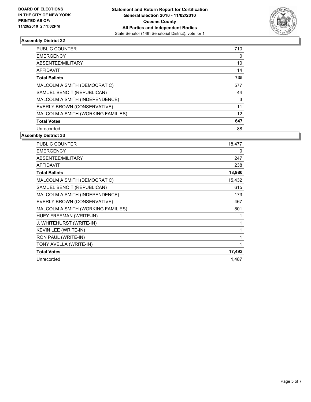

| <b>PUBLIC COUNTER</b>              | 710 |
|------------------------------------|-----|
| <b>EMERGENCY</b>                   | 0   |
| ABSENTEE/MILITARY                  | 10  |
| <b>AFFIDAVIT</b>                   | 14  |
| <b>Total Ballots</b>               | 735 |
| MALCOLM A SMITH (DEMOCRATIC)       | 577 |
| SAMUEL BENOIT (REPUBLICAN)         | 44  |
| MALCOLM A SMITH (INDEPENDENCE)     | 3   |
| EVERLY BROWN (CONSERVATIVE)        | 11  |
| MALCOLM A SMITH (WORKING FAMILIES) | 12  |
| <b>Total Votes</b>                 | 647 |
| Unrecorded                         | 88  |

| <b>PUBLIC COUNTER</b>              | 18,477 |
|------------------------------------|--------|
| <b>EMERGENCY</b>                   | 0      |
| ABSENTEE/MILITARY                  | 247    |
| <b>AFFIDAVIT</b>                   | 238    |
| <b>Total Ballots</b>               | 18,980 |
| MALCOLM A SMITH (DEMOCRATIC)       | 15,432 |
| SAMUEL BENOIT (REPUBLICAN)         | 615    |
| MALCOLM A SMITH (INDEPENDENCE)     | 173    |
| EVERLY BROWN (CONSERVATIVE)        | 467    |
| MALCOLM A SMITH (WORKING FAMILIES) | 801    |
| HUEY FREEMAN (WRITE-IN)            | 1      |
| J. WHITEHURST (WRITE-IN)           | 1      |
| KEVIN LEE (WRITE-IN)               | 1      |
| RON PAUL (WRITE-IN)                | 1      |
| TONY AVELLA (WRITE-IN)             | 1      |
| <b>Total Votes</b>                 | 17,493 |
| Unrecorded                         | 1,487  |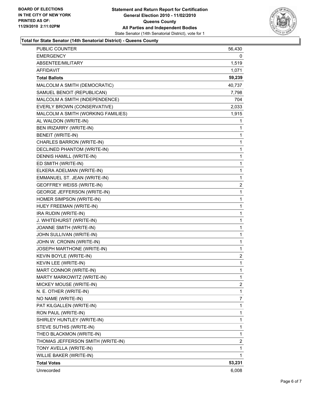

#### **Total for State Senator (14th Senatorial District) - Queens County**

| PUBLIC COUNTER                     | 56,430         |
|------------------------------------|----------------|
| <b>EMERGENCY</b>                   | 0              |
| ABSENTEE/MILITARY                  | 1,519          |
| AFFIDAVIT                          | 1,071          |
| <b>Total Ballots</b>               | 59,239         |
| MALCOLM A SMITH (DEMOCRATIC)       | 40,737         |
| SAMUEL BENOIT (REPUBLICAN)         | 7,798          |
| MALCOLM A SMITH (INDEPENDENCE)     | 704            |
| EVERLY BROWN (CONSERVATIVE)        | 2,033          |
| MALCOLM A SMITH (WORKING FAMILIES) | 1,915          |
| AL WALDON (WRITE-IN)               | 1              |
| BEN IRIZARRY (WRITE-IN)            | 1              |
| <b>BENEIT (WRITE-IN)</b>           | 1              |
| CHARLES BARRON (WRITE-IN)          | 1              |
| DECLINED PHANTOM (WRITE-IN)        | 1              |
| DENNIS HAMILL (WRITE-IN)           | 1              |
| ED SMITH (WRITE-IN)                | 1              |
| ELKERA ADELMAN (WRITE-IN)          | 1              |
| EMMANUEL ST. JEAN (WRITE-IN)       | 1              |
| <b>GEOFFREY WEISS (WRITE-IN)</b>   | 2              |
| <b>GEORGE JEFFERSON (WRITE-IN)</b> | 1              |
| HOMER SIMPSON (WRITE-IN)           | 1              |
| HUEY FREEMAN (WRITE-IN)            | 1              |
| IRA RUDIN (WRITE-IN)               | 1              |
| J. WHITEHURST (WRITE-IN)           | 1              |
| JOANNE SMITH (WRITE-IN)            | 1              |
| JOHN SULLIVAN (WRITE-IN)           | 1              |
| JOHN W. CRONIN (WRITE-IN)          | 1              |
| JOSEPH MARTHONE (WRITE-IN)         | 1              |
| KEVIN BOYLE (WRITE-IN)             | $\overline{2}$ |
| KEVIN LEE (WRITE-IN)               | 1              |
| MART CONNOR (WRITE-IN)             | 1              |
| MARTY MARKOWITZ (WRITE-IN)         | $\mathbf{1}$   |
| MICKEY MOUSE (WRITE-IN)            | $\overline{2}$ |
| N. E. OTHER (WRITE-IN)             | 1              |
| NO NAME (WRITE-IN)                 | 7              |
| PAT KILGALLEN (WRITE-IN)           | 1              |
| RON PAUL (WRITE-IN)                | 1              |
| SHIRLEY HUNTLEY (WRITE-IN)         | 1              |
| STEVE SUTHIS (WRITE-IN)            | 1              |
| THEO BLACKMON (WRITE-IN)           | 1              |
| THOMAS JEFFERSON SMITH (WRITE-IN)  | 2              |
| TONY AVELLA (WRITE-IN)             | 1              |
| WILLIE BAKER (WRITE-IN)            | 1              |
| <b>Total Votes</b>                 | 53,231         |
| Unrecorded                         | 6,008          |